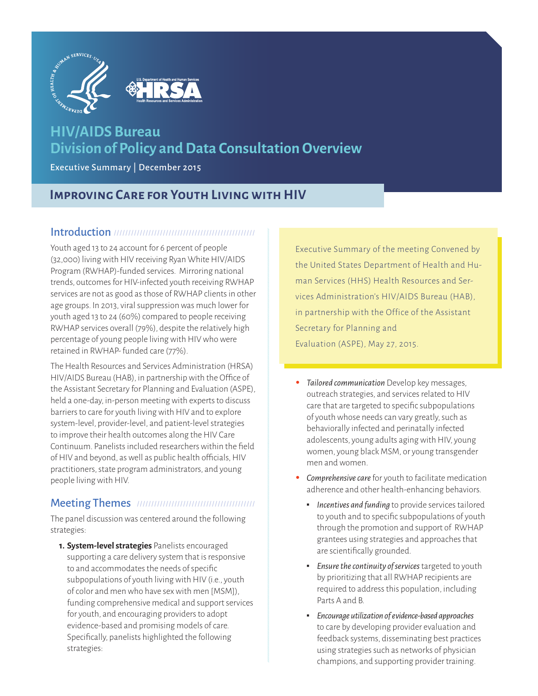

# **HIV/AIDS Bureau Division of Policy and Data Consultation Overview**

Executive Summary | December 2015

## **Improving Care for Youth Living with HIV**

#### Introduction mimmunimummummummum

Youth aged 13 to 24 account for 6 percent of people (32,000) living with HIV receiving Ryan White HIV/AIDS Program (RWHAP)-funded services. Mirroring national trends, outcomes for HIV-infected youth receiving RWHAP services are not as good as those of RWHAP clients in other age groups. In 2013, viral suppression was much lower for youth aged 13 to 24 (60%) compared to people receiving RWHAP services overall (79%), despite the relatively high percentage of young people living with HIV who were retained in RWHAP- funded care (77%).

The Health Resources and Services Administration (HRSA) HIV/AIDS Bureau (HAB), in partnership with the Office of the Assistant Secretary for Planning and Evaluation (ASPE), held a one-day, in-person meeting with experts to discuss barriers to care for youth living with HIV and to explore system-level, provider-level, and patient-level strategies to improve their health outcomes along the HIV Care Continuum. Panelists included researchers within the field of HIV and beyond, as well as public health officials, HIV practitioners, state program administrators, and young people living with HIV.

### Meeting Themes

The panel discussion was centered around the following strategies:

**1. System-level strategies** Panelists encouraged supporting a care delivery system that is responsive to and accommodates the needs of specific subpopulations of youth living with HIV (i.e., youth of color and men who have sex with men [MSM]), funding comprehensive medical and support services for youth, and encouraging providers to adopt evidence-based and promising models of care. Specifically, panelists highlighted the following strategies:

Executive Summary of the meeting Convened by the United States Department of Health and Human Services (HHS) Health Resources and Services Administration's HIV/AIDS Bureau (HAB), in partnership with the Office of the Assistant Secretary for Planning and Evaluation (ASPE), May 27, 2015.

- *Tailored communication* Develop key messages, outreach strategies, and services related to HIV care that are targeted to specific subpopulations of youth whose needs can vary greatly, such as behaviorally infected and perinatally infected adolescents, young adults aging with HIV, young women, young black MSM, or young transgender men and women.
- *Comprehensive care* for youth to facilitate medication adherence and other health-enhancing behaviors.
	- *Incentives and funding* to provide services tailored to youth and to specific subpopulations of youth through the promotion and support of RWHAP grantees using strategies and approaches that are scientifically grounded.
	- *Ensure the continuity of services* targeted to youth by prioritizing that all RWHAP recipients are required to address this population, including Parts A and B.
	- *Encourage utilization of evidence-based approaches* to care by developing provider evaluation and feedback systems, disseminating best practices using strategies such as networks of physician champions, and supporting provider training.